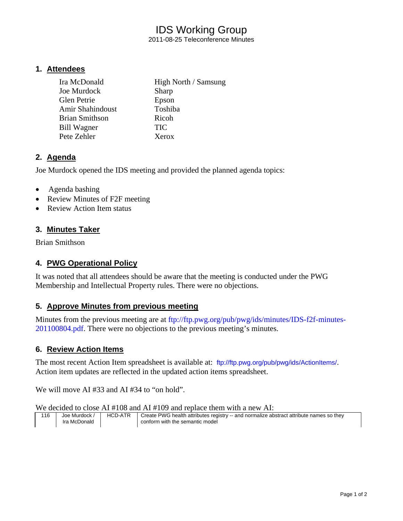# IDS Working Group

2011-08-25 Teleconference Minutes

### **1. Attendees**

| Ira McDonald          | High North / Samsung |
|-----------------------|----------------------|
| Joe Murdock           | Sharp                |
| Glen Petrie           | Epson                |
| Amir Shahindoust      | Toshiba              |
| <b>Brian Smithson</b> | Ricoh                |
| Bill Wagner           | <b>TIC</b>           |
| Pete Zehler           | Xerox                |

## **2. Agenda**

Joe Murdock opened the IDS meeting and provided the planned agenda topics:

- Agenda bashing
- Review Minutes of F2F meeting
- Review Action Item status

## **3. Minutes Taker**

Brian Smithson

## **4. PWG Operational Policy**

It was noted that all attendees should be aware that the meeting is conducted under the PWG Membership and Intellectual Property rules. There were no objections.

## **5. Approve Minutes from previous meeting**

Minutes from the previous meeting are at ftp://ftp.pwg.org/pub/pwg/ids/minutes/IDS-f2f-minutes-201100804.pdf. There were no objections to the previous meeting's minutes.

### **6. Review Action Items**

The most recent Action Item spreadsheet is available at: ftp://ftp.pwg.org/pub/pwg/ids/ActionItems/. Action item updates are reflected in the updated action items spreadsheet.

We will move AI #33 and AI #34 to "on hold".

We decided to close AI #108 and AI #109 and replace them with a new AI:

| 116 | Joe Murdock  | <b>HCD-ATR</b> | Create PWG health attributes registry -- and normalize abstract attribute names so they |
|-----|--------------|----------------|-----------------------------------------------------------------------------------------|
|     | Ira McDonald |                | conform with the semantic model                                                         |